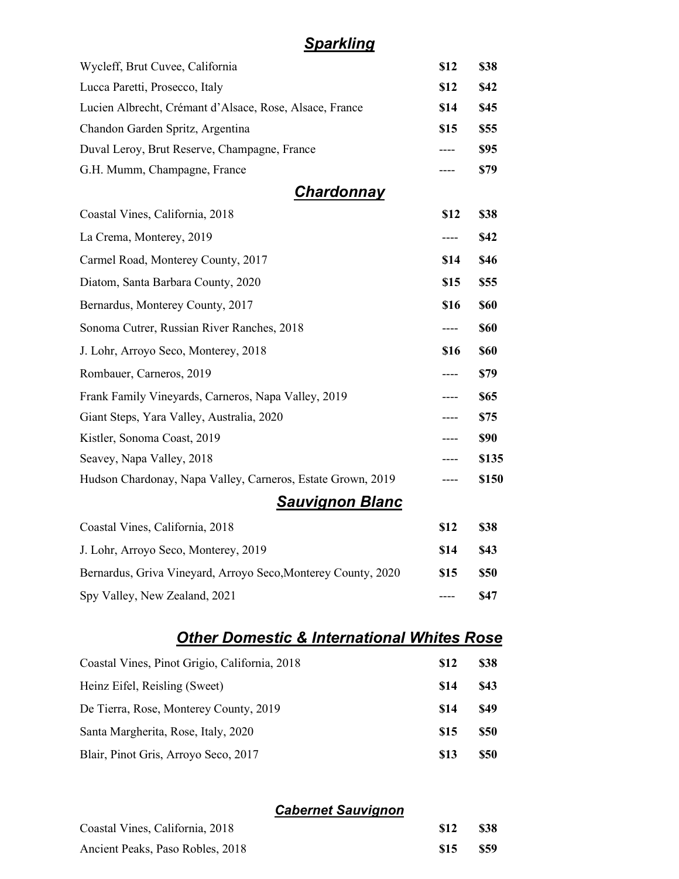## *Sparkling*

| Wycleff, Brut Cuvee, California                               | \$12 | \$38  |
|---------------------------------------------------------------|------|-------|
| Lucca Paretti, Prosecco, Italy                                | \$12 | \$42  |
| Lucien Albrecht, Crémant d'Alsace, Rose, Alsace, France       | \$14 | \$45  |
| Chandon Garden Spritz, Argentina                              | \$15 | \$55  |
| Duval Leroy, Brut Reserve, Champagne, France                  |      | \$95  |
| G.H. Mumm, Champagne, France                                  |      | \$79  |
| <b>Chardonnay</b>                                             |      |       |
| Coastal Vines, California, 2018                               | \$12 | \$38  |
| La Crema, Monterey, 2019                                      | ---- | \$42  |
| Carmel Road, Monterey County, 2017                            | \$14 | \$46  |
| Diatom, Santa Barbara County, 2020                            | \$15 | \$55  |
| Bernardus, Monterey County, 2017                              | \$16 | \$60  |
| Sonoma Cutrer, Russian River Ranches, 2018                    | ---- | \$60  |
| J. Lohr, Arroyo Seco, Monterey, 2018                          | \$16 | \$60  |
| Rombauer, Carneros, 2019                                      |      | \$79  |
| Frank Family Vineyards, Carneros, Napa Valley, 2019           |      | \$65  |
| Giant Steps, Yara Valley, Australia, 2020                     |      | \$75  |
| Kistler, Sonoma Coast, 2019                                   | ---- | \$90  |
| Seavey, Napa Valley, 2018                                     | ---- | \$135 |
| Hudson Chardonay, Napa Valley, Carneros, Estate Grown, 2019   |      | \$150 |
| <u>Sauvignon Blanc</u>                                        |      |       |
| Coastal Vines, California, 2018                               | \$12 | \$38  |
| J. Lohr, Arroyo Seco, Monterey, 2019                          | \$14 | \$43  |
| Bernardus, Griva Vineyard, Arroyo Seco, Monterey County, 2020 | \$15 | \$50  |
| Spy Valley, New Zealand, 2021                                 |      | \$47  |
| <u> Other Domestic &amp; International Whites Rose</u>        |      |       |
| Coastal Vines, Pinot Grigio, California, 2018                 | \$12 | \$38  |
| Heinz Eifel, Reisling (Sweet)                                 | \$14 | \$43  |
| De Tierra, Rose, Monterey County, 2019                        | \$14 | \$49  |
| Santa Margherita, Rose, Italy, 2020                           | \$15 | \$50  |
| Blair, Pinot Gris, Arroyo Seco, 2017                          | \$13 | \$50  |

#### *Cabernet Sauvignon*

| Coastal Vines, California, 2018  | <b>S12</b> | <b>S38</b> |
|----------------------------------|------------|------------|
| Ancient Peaks, Paso Robles, 2018 | \$15 \$59  |            |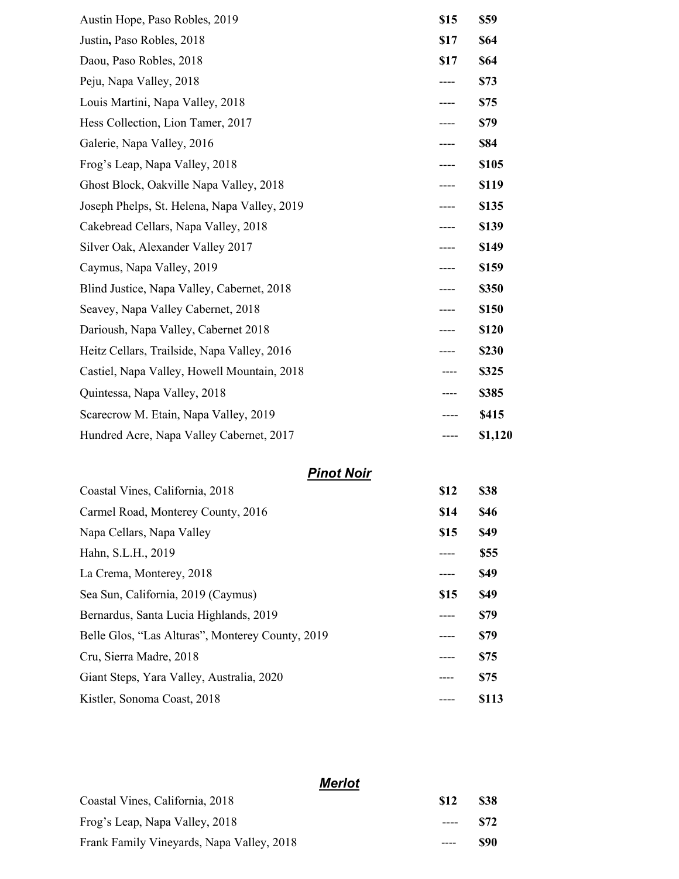| Austin Hope, Paso Robles, 2019               | \$15 | \$59    |
|----------------------------------------------|------|---------|
| Justin, Paso Robles, 2018                    | \$17 | \$64    |
| Daou, Paso Robles, 2018                      | \$17 | \$64    |
| Peju, Napa Valley, 2018                      |      | \$73    |
| Louis Martini, Napa Valley, 2018             | ---- | \$75    |
| Hess Collection, Lion Tamer, 2017            | ---- | \$79    |
| Galerie, Napa Valley, 2016                   |      | \$84    |
| Frog's Leap, Napa Valley, 2018               |      | \$105   |
| Ghost Block, Oakville Napa Valley, 2018      | ---- | \$119   |
| Joseph Phelps, St. Helena, Napa Valley, 2019 |      | \$135   |
| Cakebread Cellars, Napa Valley, 2018         |      | \$139   |
| Silver Oak, Alexander Valley 2017            |      | \$149   |
| Caymus, Napa Valley, 2019                    |      | \$159   |
| Blind Justice, Napa Valley, Cabernet, 2018   |      | \$350   |
| Seavey, Napa Valley Cabernet, 2018           | ---- | \$150   |
| Darioush, Napa Valley, Cabernet 2018         |      | \$120   |
| Heitz Cellars, Trailside, Napa Valley, 2016  | ---- | \$230   |
| Castiel, Napa Valley, Howell Mountain, 2018  | ---- | \$325   |
| Quintessa, Napa Valley, 2018                 | ---- | \$385   |
| Scarecrow M. Etain, Napa Valley, 2019        |      | \$415   |
| Hundred Acre, Napa Valley Cabernet, 2017     |      | \$1,120 |
|                                              |      |         |

# *Pinot Noir*

| , ,,,v, ,,v,,                                    |      |             |
|--------------------------------------------------|------|-------------|
| Coastal Vines, California, 2018                  | \$12 | <b>\$38</b> |
| Carmel Road, Monterey County, 2016               | \$14 | \$46        |
| Napa Cellars, Napa Valley                        | \$15 | \$49        |
| Hahn, S.L.H., 2019                               | ---- | \$55        |
| La Crema, Monterey, 2018                         | ---- | \$49        |
| Sea Sun, California, 2019 (Caymus)               | \$15 | \$49        |
| Bernardus, Santa Lucia Highlands, 2019           | ---- | \$79        |
| Belle Glos, "Las Alturas", Monterey County, 2019 | ---- | \$79        |
| Cru, Sierra Madre, 2018                          | ---- | \$75        |
| Giant Steps, Yara Valley, Australia, 2020        | ---- | \$75        |
| Kistler, Sonoma Coast, 2018                      |      | \$113       |

|                                           | <b>Merlot</b> |             |
|-------------------------------------------|---------------|-------------|
| Coastal Vines, California, 2018           | \$12          | <b>\$38</b> |
| Frog's Leap, Napa Valley, 2018            | $---$         | \$72        |
| Frank Family Vineyards, Napa Valley, 2018 |               | \$90        |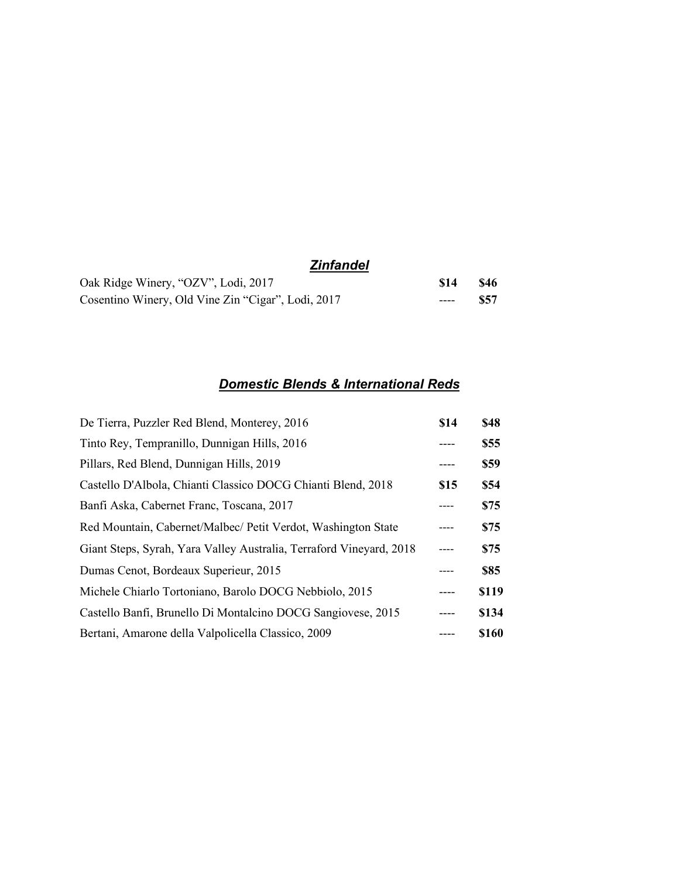## *Zinfandel*

| Oak Ridge Winery, "OZV", Lodi, 2017                | <b>S14</b> | - \$46 |
|----------------------------------------------------|------------|--------|
| Cosentino Winery, Old Vine Zin "Cigar", Lodi, 2017 | $---$      | - \$57 |

## *Domestic Blends & International Reds*

| De Tierra, Puzzler Red Blend, Monterey, 2016                        | \$14 | \$48        |
|---------------------------------------------------------------------|------|-------------|
| Tinto Rey, Tempranillo, Dunnigan Hills, 2016                        |      | <b>\$55</b> |
| Pillars, Red Blend, Dunnigan Hills, 2019                            |      | \$59        |
| Castello D'Albola, Chianti Classico DOCG Chianti Blend, 2018        | \$15 | <b>\$54</b> |
| Banfi Aska, Cabernet Franc, Toscana, 2017                           |      | <b>\$75</b> |
| Red Mountain, Cabernet/Malbec/ Petit Verdot, Washington State       |      | \$75        |
| Giant Steps, Syrah, Yara Valley Australia, Terraford Vineyard, 2018 |      | \$75        |
| Dumas Cenot, Bordeaux Superieur, 2015                               | ---- | <b>\$85</b> |
| Michele Chiarlo Tortoniano, Barolo DOCG Nebbiolo, 2015              |      | \$119       |
| Castello Banfi, Brunello Di Montalcino DOCG Sangiovese, 2015        |      | \$134       |
| Bertani, Amarone della Valpolicella Classico, 2009                  |      | \$160       |